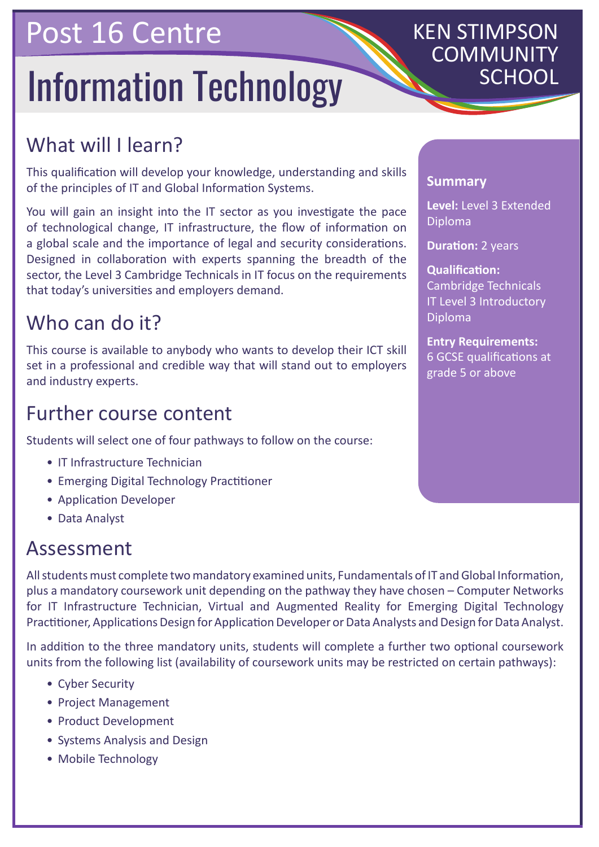## Post 16 Centre

# **Information Technology**

## KEN STIMPSON COMMUNITY

### What will I learn?

This qualification will develop your knowledge, understanding and skills of the principles of IT and Global Information Systems.

You will gain an insight into the IT sector as you investigate the pace of technological change, IT infrastructure, the flow of information on a global scale and the importance of legal and security considerations. Designed in collaboration with experts spanning the breadth of the sector, the Level 3 Cambridge Technicals in IT focus on the requirements that today's universities and employers demand.

#### Who can do it?

This course is available to anybody who wants to develop their ICT skill set in a professional and credible way that will stand out to employers and industry experts.

#### Further course content

Students will select one of four pathways to follow on the course:

- IT Infrastructure Technician
- Emerging Digital Technology Practitioner
- Application Developer
- Data Analyst

#### Assessment

All students must complete two mandatory examined units, Fundamentals of IT and Global Information, plus a mandatory coursework unit depending on the pathway they have chosen – Computer Networks for IT Infrastructure Technician, Virtual and Augmented Reality for Emerging Digital Technology Practitioner, Applications Design for Application Developer or Data Analysts and Design for Data Analyst.

In addition to the three mandatory units, students will complete a further two optional coursework units from the following list (availability of coursework units may be restricted on certain pathways):

- Cyber Security
- Project Management
- Product Development
- Systems Analysis and Design
- Mobile Technology

#### **Summary**

**Level:** Level 3 Extended Diploma

**Duration: 2 years** 

**Qualification:** Cambridge Technicals IT Level 3 Introductory Diploma

**Entry Requirements:** 6 GCSE qualifications at grade 5 or above